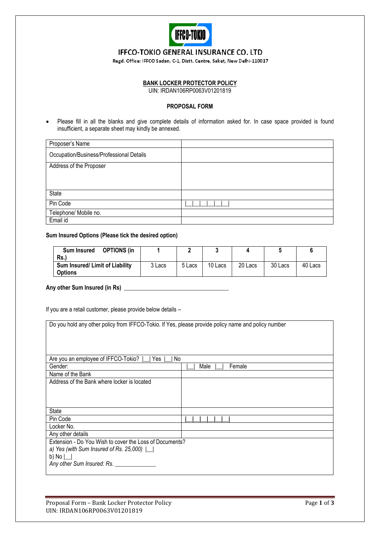

# IFFCO-TOKIO GENERAL INSURANCE CO. LTD

Regd. Office: IFFCO Sadan, C-1, Distt. Centre, Saket, New Delhi-110017

## **BANK LOCKER PROTECTOR POLICY**

UIN: IRDAN106RP0063V01201819

### **PROPOSAL FORM**

 Please fill in all the blanks and give complete details of information asked for. In case space provided is found insufficient, a separate sheet may kindly be annexed.

| Proposer's Name                          |  |
|------------------------------------------|--|
| Occupation/Business/Professional Details |  |
| Address of the Proposer                  |  |
|                                          |  |
|                                          |  |
| State                                    |  |
| Pin Code                                 |  |
| Telephone/ Mobile no.                    |  |
| Email id                                 |  |

# **Sum Insured Options (Please tick the desired option)**

| <b>OPTIONS (in</b><br><b>Sum Insured</b> |        |        |         |         |         |         |
|------------------------------------------|--------|--------|---------|---------|---------|---------|
| Rs.                                      |        |        |         |         |         |         |
| Sum Insured/ Limit of Liability          | 3 Lacs | 5 Lacs | 10 Lacs | 20 Lacs | 30 Lacs | 40 Lacs |
| <b>Options</b>                           |        |        |         |         |         |         |

#### **Any other Sum Insured (in Rs) \_\_\_\_\_\_\_\_\_\_\_\_\_\_\_\_\_\_\_\_\_\_\_\_\_\_\_\_\_\_\_\_\_\_\_\_**

If you are a retail customer, please provide below details –

| Do you hold any other policy from IFFCO-Tokio. If Yes, please provide policy name and policy number |                |  |
|-----------------------------------------------------------------------------------------------------|----------------|--|
|                                                                                                     |                |  |
|                                                                                                     |                |  |
|                                                                                                     |                |  |
| Are you an employee of IFFCO-Tokio?<br>Yes<br>No                                                    |                |  |
| Gender:                                                                                             | Female<br>Male |  |
| Name of the Bank                                                                                    |                |  |
| Address of the Bank where locker is located                                                         |                |  |
|                                                                                                     |                |  |
|                                                                                                     |                |  |
|                                                                                                     |                |  |
| <b>State</b>                                                                                        |                |  |
| Pin Code                                                                                            |                |  |
| Locker No.                                                                                          |                |  |
| Any other details                                                                                   |                |  |
| Extension - Do You Wish to cover the Loss of Documents?                                             |                |  |
| a) Yes (with Sum Insured of Rs. 25,000) $\lfloor$                                                   |                |  |
| b) No $\lfloor$                                                                                     |                |  |
| Any other Sum Insured: Rs.                                                                          |                |  |
|                                                                                                     |                |  |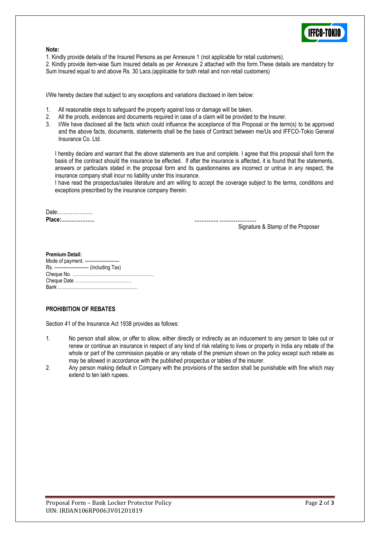

### **Note:**

1. Kindly provide details of the Insured Persons as per Annexure 1 (not applicable for retail customers).

2. Kindly provide item-wise Sum Insured details as per Annexure 2 attached with this form.These details are mandatory for Sum Insured equal to and above Rs. 30 Lacs.(applicable for both retail and non retail customers)

I/We hereby declare that subject to any exceptions and variations disclosed in item below:

- 1. All reasonable steps to safeguard the property against loss or damage will be taken.
- 2. All the proofs, evidences and documents required in case of a claim will be provided to the Insurer.
- 3. I/We have disclosed all the facts which could influence the acceptance of this Proposal or the term(s) to be approved and the above facts, documents, statements shall be the basis of Contract between me/Us and IFFCO-Tokio General Insurance Co. Ltd.

I hereby declare and warrant that the above statements are true and complete. I agree that this proposal shall form the basis of the contract should the insurance be effected. If after the insurance is affected, it is found that the statements, answers or particulars stated in the proposal form and its questionnaires are incorrect or untrue in any respect, the insurance company shall incur no liability under this insurance.

I have read the prospectus/sales literature and am willing to accept the coverage subject to the terms, conditions and exceptions prescribed by the insurance company therein.

Date:……………….. **Place:………………. ………….. …………………**

Signature & Stamp of the Proposer

**Premium Detail:** Mode of payment. ---------------------- Rs. ---------------------- (including Tax) Cheque No. ……………………………………………. Cheque Date ……………………………… Bank ……………………………………………

# **PROHIBITION OF REBATES**

Section 41 of the Insurance Act 1938 provides as follows:

- 1. No person shall allow, or offer to allow, either directly or indirectly as an inducement to any person to take out or renew or continue an insurance in respect of any kind of risk relating to lives or property in India any rebate of the whole or part of the commission payable or any rebate of the premium shown on the policy except such rebate as may be allowed in accordance with the published prospectus or tables of the insurer.
- 2. Any person making default in Company with the provisions of the section shall be punishable with fine which may extend to ten lakh rupees.